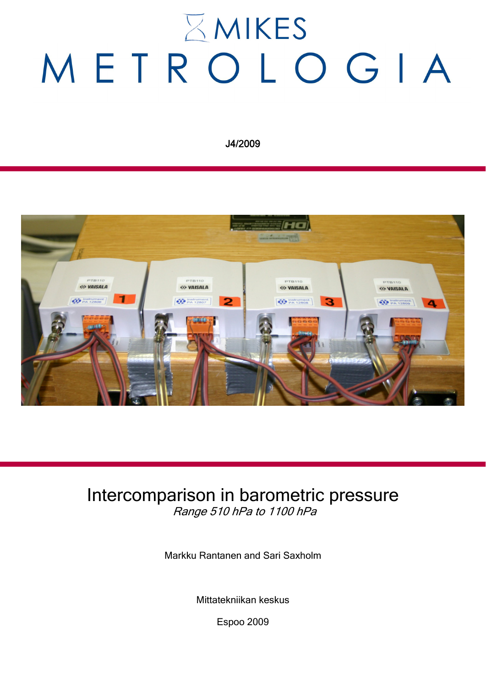# $\Sigma$  MIKES METROLOGIA

J4/2009



## Intercomparison in barometric pressure Range 510 hPa to 1100 hPa

Markku Rantanen and Sari Saxholm

Mittatekniikan keskus

Espoo 2009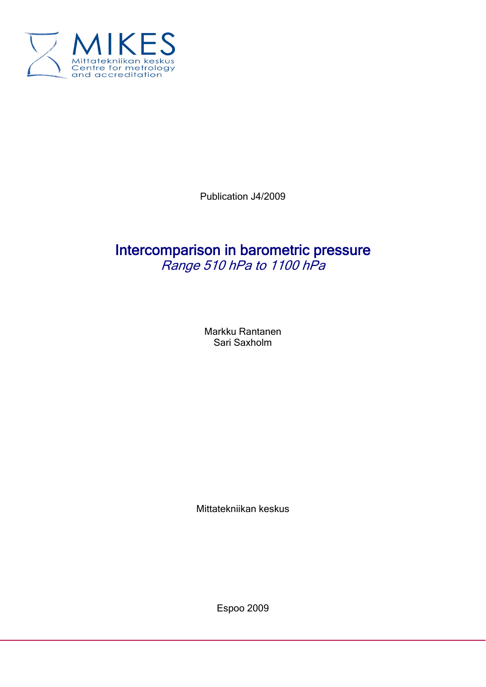

Publication J4/2009

### Intercomparison in barometric pressure Range 510 hPa to 1100 hPa

Markku Rantanen Sari Saxholm

Mittatekniikan keskus

Espoo 2009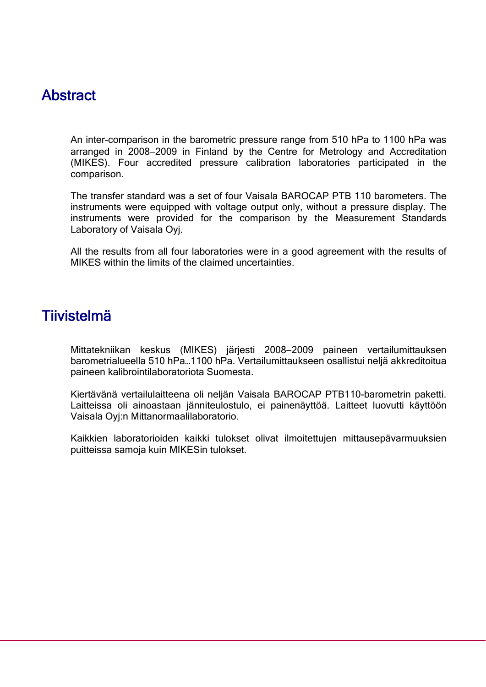#### **Abstract**

An inter-comparison in the barometric pressure range from 510 hPa to 1100 hPa was arranged in 2008−2009 in Finland by the Centre for Metrology and Accreditation (MIKES). Four accredited pressure calibration laboratories participated in the comparison.

The transfer standard was a set of four Vaisala BAROCAP PTB 110 barometers. The instruments were equipped with voltage output only, without a pressure display. The instruments were provided for the comparison by the Measurement Standards Laboratory of Vaisala Oyj.

All the results from all four laboratories were in a good agreement with the results of MIKES within the limits of the claimed uncertainties.

#### **Tiivistelmä**

Mittatekniikan keskus (MIKES) järjesti 2008−2009 paineen vertailumittauksen barometrialueella 510 hPa…1100 hPa. Vertailumittaukseen osallistui neljä akkreditoitua paineen kalibrointilaboratoriota Suomesta.

Kiertävänä vertailulaitteena oli neljän Vaisala BAROCAP PTB110-barometrin paketti. Laitteissa oli ainoastaan jänniteulostulo, ei painenäyttöä. Laitteet luovutti käyttöön Vaisala Oyj:n Mittanormaalilaboratorio.

Kaikkien laboratorioiden kaikki tulokset olivat ilmoitettujen mittausepävarmuuksien puitteissa samoja kuin MIKESin tulokset.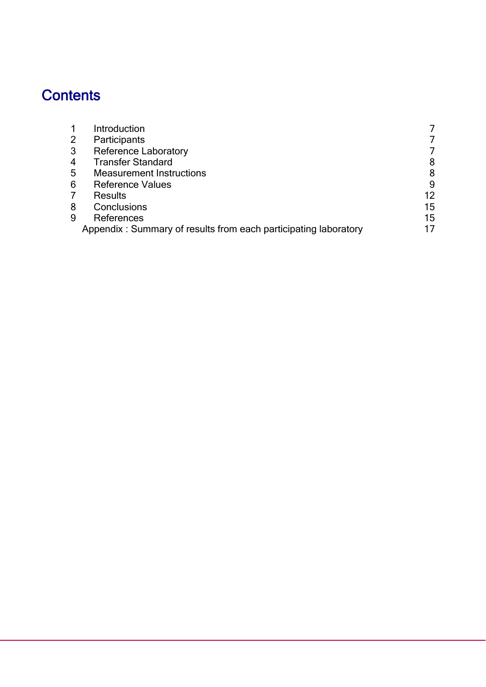# **Contents**

|   | Introduction                                                    |    |
|---|-----------------------------------------------------------------|----|
|   | Participants                                                    |    |
|   | <b>Reference Laboratory</b>                                     |    |
|   | <b>Transfer Standard</b>                                        | 8  |
| 5 | <b>Measurement Instructions</b>                                 | 8  |
| 6 | <b>Reference Values</b>                                         | 9  |
|   | <b>Results</b>                                                  | 12 |
| 8 | Conclusions                                                     | 15 |
|   | References                                                      | 15 |
|   | Appendix: Summary of results from each participating laboratory | 17 |
|   |                                                                 |    |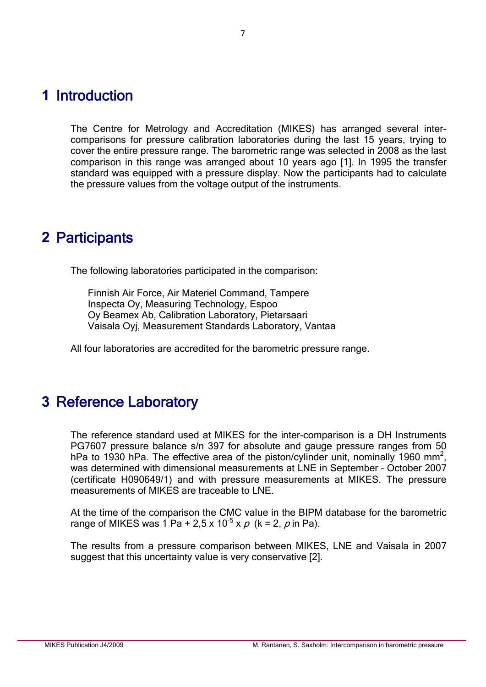#### **1** Introduction

The Centre for Metrology and Accreditation (MIKES) has arranged several intercomparisons for pressure calibration laboratories during the last 15 years, trying to cover the entire pressure range. The barometric range was selected in 2008 as the last comparison in this range was arranged about 10 years ago [1]. In 1995 the transfer standard was equipped with a pressure display. Now the participants had to calculate the pressure values from the voltage output of the instruments.

#### **2** Participants

The following laboratories participated in the comparison:

Finnish Air Force, Air Materiel Command, Tampere Inspecta Oy, Measuring Technology, Espoo Oy Beamex Ab, Calibration Laboratory, Pietarsaari Vaisala Oyj, Measurement Standards Laboratory, Vantaa

All four laboratories are accredited for the barometric pressure range.

### **3** Reference Laboratory

The reference standard used at MIKES for the inter-comparison is a DH Instruments PG7607 pressure balance s/n 397 for absolute and gauge pressure ranges from 50 hPa to 1930 hPa. The effective area of the piston/cylinder unit, nominally 1960 mm<sup>2</sup>, was determined with dimensional measurements at LNE in September – October 2007 (certificate H090649/1) and with pressure measurements at MIKES. The pressure measurements of MIKES are traceable to LNE.

At the time of the comparison the CMC value in the BIPM database for the barometric range of MIKES was  $1 \text{ Pa} + 2.5 \times 10^{-5} \times p$  (k = 2, p in Pa).

The results from a pressure comparison between MIKES, LNE and Vaisala in 2007 suggest that this uncertainty value is very conservative [2].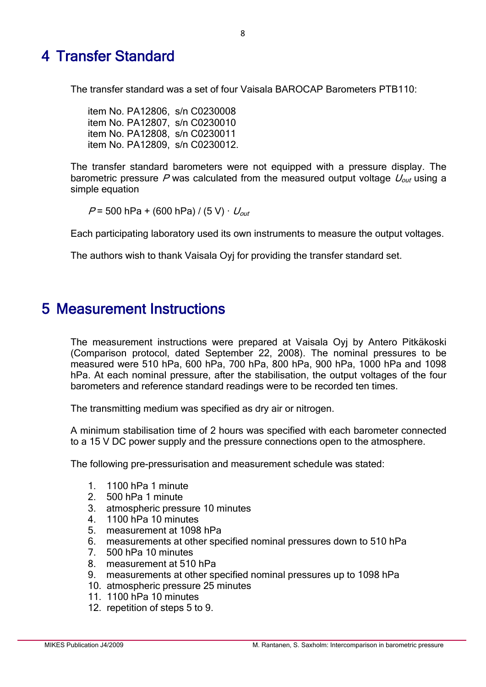### 4 Transfer Standard

The transfer standard was a set of four Vaisala BAROCAP Barometers PTB110:

item No. PA12806, s/n C0230008 item No. PA12807, s/n C0230010 item No. PA12808, s/n C0230011 item No. PA12809, s/n C0230012.

The transfer standard barometers were not equipped with a pressure display. The barometric pressure P was calculated from the measured output voltage  $U_{out}$  using a simple equation

 $P = 500$  hPa + (600 hPa) / (5 V)  $\cdot U_{out}$ 

Each participating laboratory used its own instruments to measure the output voltages.

The authors wish to thank Vaisala Oyj for providing the transfer standard set.

#### 5 Measurement Instructions

The measurement instructions were prepared at Vaisala Oyj by Antero Pitkäkoski (Comparison protocol, dated September 22, 2008). The nominal pressures to be measured were 510 hPa, 600 hPa, 700 hPa, 800 hPa, 900 hPa, 1000 hPa and 1098 hPa. At each nominal pressure, after the stabilisation, the output voltages of the four barometers and reference standard readings were to be recorded ten times.

The transmitting medium was specified as dry air or nitrogen.

A minimum stabilisation time of 2 hours was specified with each barometer connected to a 15 V DC power supply and the pressure connections open to the atmosphere.

The following pre-pressurisation and measurement schedule was stated:

- 1. 1100 hPa 1 minute
- 2. 500 hPa 1 minute<br>3 atmospheric press
- atmospheric pressure 10 minutes
- 4. 1100 hPa 10 minutes
- 5. measurement at 1098 hPa
- 6. measurements at other specified nominal pressures down to 510 hPa
- 7. 500 hPa 10 minutes
- 8. measurement at 510 hPa
- 9. measurements at other specified nominal pressures up to 1098 hPa
- 10. atmospheric pressure 25 minutes
- 11. 1100 hPa 10 minutes
- 12. repetition of steps 5 to 9.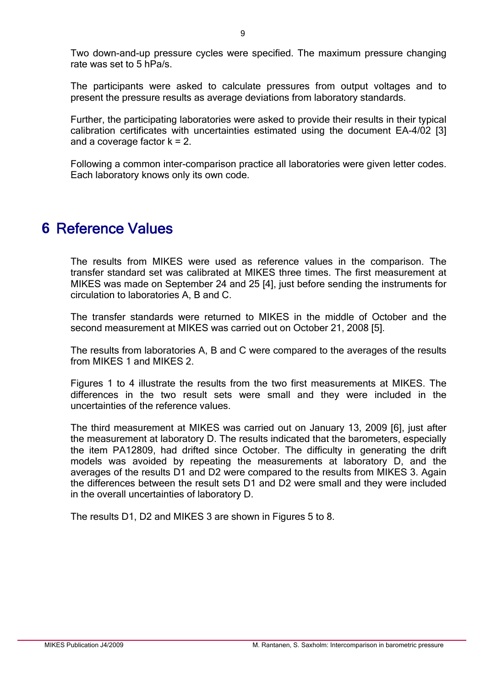Two down-and-up pressure cycles were specified. The maximum pressure changing rate was set to 5 hPa/s.

The participants were asked to calculate pressures from output voltages and to present the pressure results as average deviations from laboratory standards.

Further, the participating laboratories were asked to provide their results in their typical calibration certificates with uncertainties estimated using the document EA-4/02 [3] and a coverage factor  $k = 2$ .

Following a common inter-comparison practice all laboratories were given letter codes. Each laboratory knows only its own code.

#### **6** Reference Values

The results from MIKES were used as reference values in the comparison. The transfer standard set was calibrated at MIKES three times. The first measurement at MIKES was made on September 24 and 25 [4], just before sending the instruments for circulation to laboratories A, B and C.

The transfer standards were returned to MIKES in the middle of October and the second measurement at MIKES was carried out on October 21, 2008 [5].

The results from laboratories A, B and C were compared to the averages of the results from MIKES 1 and MIKES 2.

Figures 1 to 4 illustrate the results from the two first measurements at MIKES. The differences in the two result sets were small and they were included in the uncertainties of the reference values.

The third measurement at MIKES was carried out on January 13, 2009 [6], just after the measurement at laboratory D. The results indicated that the barometers, especially the item PA12809, had drifted since October. The difficulty in generating the drift models was avoided by repeating the measurements at laboratory D, and the averages of the results D1 and D2 were compared to the results from MIKES 3. Again the differences between the result sets D1 and D2 were small and they were included in the overall uncertainties of laboratory D.

The results D1, D2 and MIKES 3 are shown in Figures 5 to 8.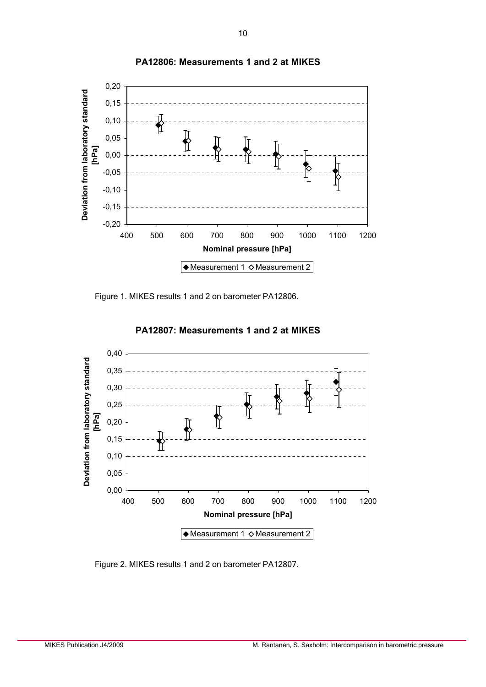

**PA12806: Measurements 1 and 2 at MIKES**

Figure 1. MIKES results 1 and 2 on barometer PA12806.



**PA12807: Measurements 1 and 2 at MIKES**

Figure 2. MIKES results 1 and 2 on barometer PA12807.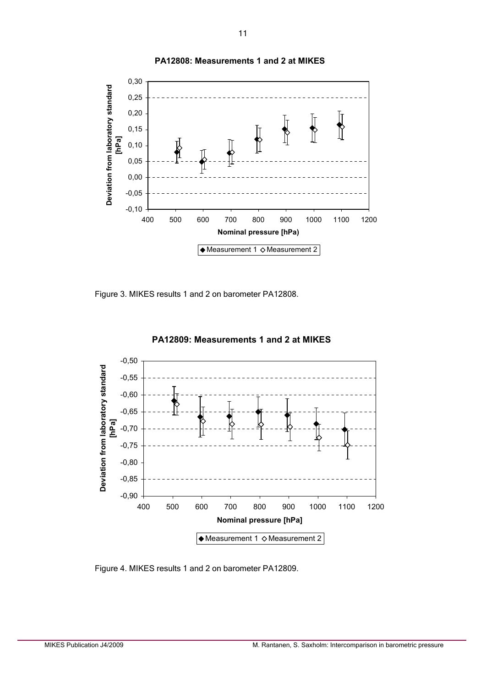

**PA12808: Measurements 1 and 2 at MIKES**

Figure 3. MIKES results 1 and 2 on barometer PA12808.



 **PA12809: Measurements 1 and 2 at MIKES**

Figure 4. MIKES results 1 and 2 on barometer PA12809.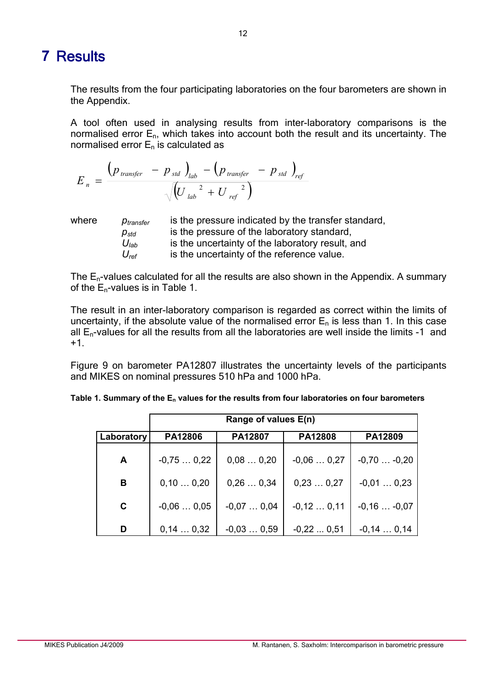#### **7** Results

The results from the four participating laboratories on the four barometers are shown in the Appendix.

A tool often used in analysing results from inter-laboratory comparisons is the normalised error  $E_n$ , which takes into account both the result and its uncertainty. The normalised error  $E_n$  is calculated as

$$
E_n = \frac{\left(p_{\text{ transfer}} - p_{\text{std}}\right)_{\text{lab}} - \left(p_{\text{transfer}} - p_{\text{std}}\right)_{\text{ref}}}{\sqrt{\left(U_{\text{ lab}}^2 + U_{\text{ ref}}^2\right)}}
$$

| ∧here |  |
|-------|--|
|       |  |

where *p<sub>transfer</sub>* is the pressure indicated by the transfer standard,  $p_{std}$  is the pressure of the laboratory standard, *U*<sub>lab</sub> is the uncertainty of the laboratory result, and *Uref* is the uncertainty of the reference value.

The  $E_n$ -values calculated for all the results are also shown in the Appendix. A summary of the  $E_n$ -values is in Table 1.

The result in an inter-laboratory comparison is regarded as correct within the limits of uncertainty, if the absolute value of the normalised error  $E_n$  is less than 1. In this case all  $E_n$ -values for all the results from all the laboratories are well inside the limits -1 and +1.

Figure 9 on barometer PA12807 illustrates the uncertainty levels of the participants and MIKES on nominal pressures 510 hPa and 1000 hPa.

|             | Range of values E(n) |             |             |                 |  |  |  |  |
|-------------|----------------------|-------------|-------------|-----------------|--|--|--|--|
| Laboratory  | PA12806              | PA12807     | PA12808     | PA12809         |  |  |  |  |
| A           | $-0,750,22$          | 0,080,20    | $-0.060.27$ | $-0,70$ $-0,20$ |  |  |  |  |
| B           | 0,100,20             | 0,260,34    | 0,230,27    | $-0.010.23$     |  |  |  |  |
| $\mathbf C$ | $-0,060,05$          | $-0.070.04$ | $-0,120,11$ | $-0,16$ $-0,07$ |  |  |  |  |
| D           | 0,140,32             | $-0.030.59$ | $-0.220.51$ | $-0,140,14$     |  |  |  |  |

| Table 1. Summary of the $E_n$ values for the results from four laboratories on four barometers |
|------------------------------------------------------------------------------------------------|
|------------------------------------------------------------------------------------------------|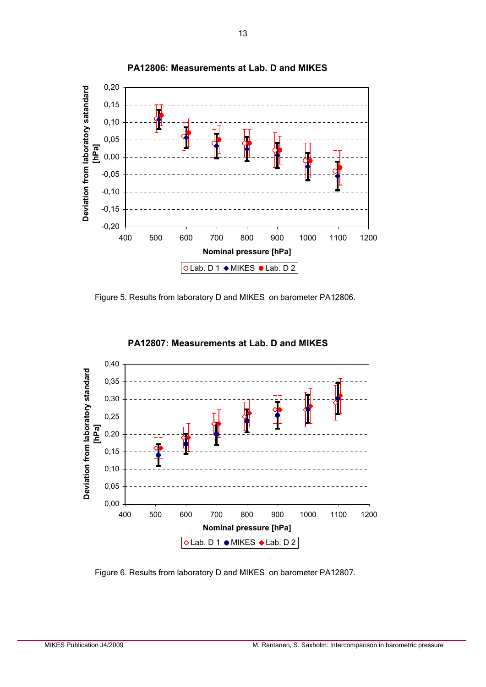

**PA12806: Measurements at Lab. D and MIKES**

Figure 5. Results from laboratory D and MIKES on barometer PA12806.



**PA12807: Measurements at Lab. D and MIKES**

Figure 6. Results from laboratory D and MIKES on barometer PA12807.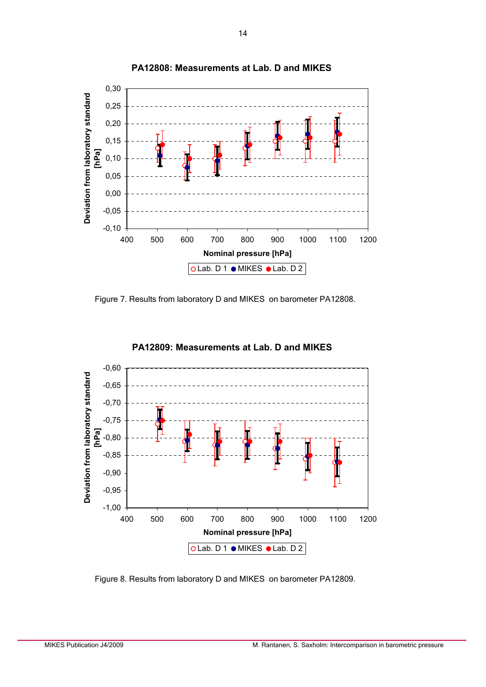

**PA12808: Measurements at Lab. D and MIKES**

Figure 7. Results from laboratory D and MIKES on barometer PA12808.



#### **PA12809: Measurements at Lab. D and MIKES**

Figure 8. Results from laboratory D and MIKES on barometer PA12809.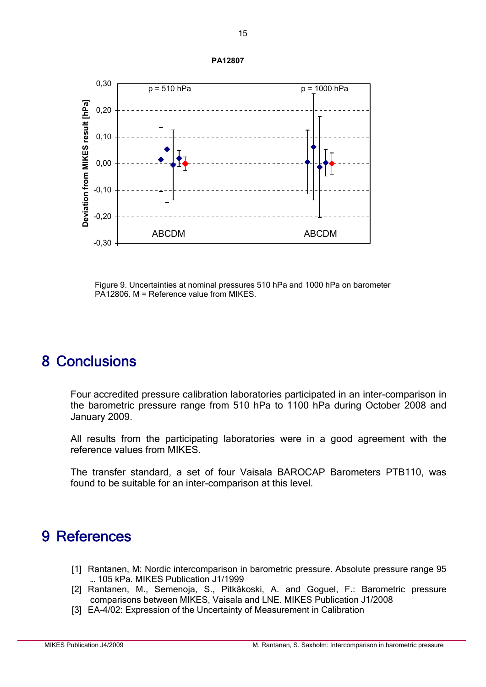

Figure 9. Uncertainties at nominal pressures 510 hPa and 1000 hPa on barometer PA12806. M = Reference value from MIKES.

#### 8 Conclusions

Four accredited pressure calibration laboratories participated in an inter-comparison in the barometric pressure range from 510 hPa to 1100 hPa during October 2008 and January 2009.

All results from the participating laboratories were in a good agreement with the reference values from MIKES.

The transfer standard, a set of four Vaisala BAROCAP Barometers PTB110, was found to be suitable for an inter-comparison at this level.

#### 9 References

- [1] Rantanen, M: Nordic intercomparison in barometric pressure. Absolute pressure range 95 … 105 kPa. MIKES Publication J1/1999
- [2] Rantanen, M., Semenoja, S., Pitkäkoski, A. and Goguel, F.: Barometric pressure comparisons between MIKES, Vaisala and LNE. MIKES Publication J1/2008
- [3] EA-4/02: Expression of the Uncertainty of Measurement in Calibration

**PA12807**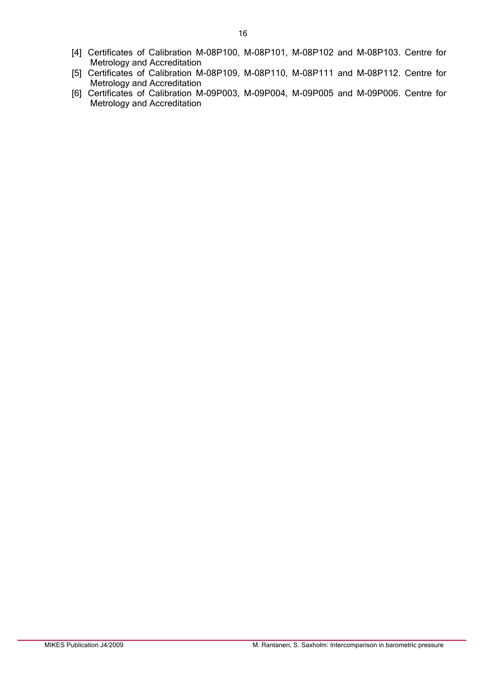- [4] Certificates of Calibration M-08P100, M-08P101, M-08P102 and M-08P103. Centre for Metrology and Accreditation
- [5] Certificates of Calibration M-08P109, M-08P110, M-08P111 and M-08P112. Centre for Metrology and Accreditation
- [6] Certificates of Calibration M-09P003, M-09P004, M-09P005 and M-09P006. Centre for Metrology and Accreditation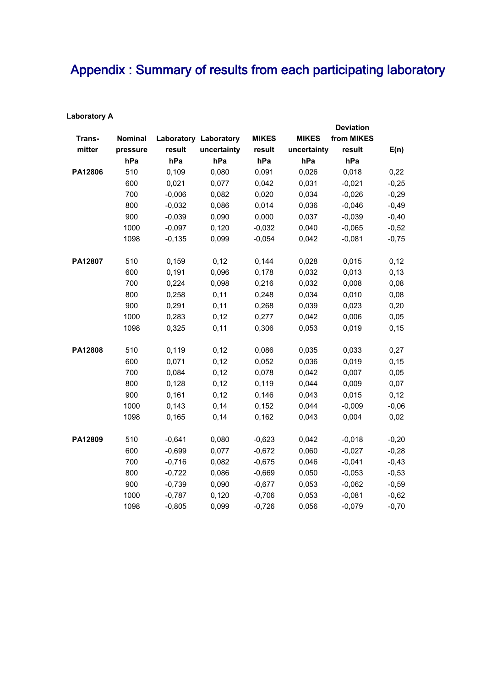## Appendix : Summary of results from each participating laboratory

| <b>Laboratory A</b> |  |
|---------------------|--|
|---------------------|--|

|         |                |          |                              |              |              | <b>Deviation</b> |         |
|---------|----------------|----------|------------------------------|--------------|--------------|------------------|---------|
| Trans-  | <b>Nominal</b> |          | <b>Laboratory Laboratory</b> | <b>MIKES</b> | <b>MIKES</b> | from MIKES       |         |
| mitter  | pressure       | result   | uncertainty                  | result       | uncertainty  | result           | E(n)    |
|         | hPa            | hPa      | hPa                          | hPa          | hPa          | hPa              |         |
| PA12806 | 510            | 0,109    | 0,080                        | 0,091        | 0,026        | 0,018            | 0,22    |
|         | 600            | 0,021    | 0,077                        | 0,042        | 0,031        | $-0,021$         | $-0,25$ |
|         | 700            | $-0,006$ | 0,082                        | 0,020        | 0,034        | $-0,026$         | $-0,29$ |
|         | 800            | $-0,032$ | 0,086                        | 0,014        | 0,036        | $-0,046$         | $-0,49$ |
|         | 900            | $-0,039$ | 0,090                        | 0,000        | 0,037        | $-0,039$         | $-0,40$ |
|         | 1000           | $-0,097$ | 0,120                        | $-0,032$     | 0,040        | $-0,065$         | $-0,52$ |
|         | 1098           | $-0,135$ | 0,099                        | $-0,054$     | 0,042        | $-0,081$         | $-0,75$ |
| PA12807 | 510            | 0,159    | 0,12                         | 0,144        | 0,028        | 0,015            | 0,12    |
|         | 600            | 0,191    | 0,096                        | 0,178        | 0,032        | 0,013            | 0, 13   |
|         | 700            | 0,224    | 0,098                        | 0,216        | 0,032        | 0,008            | 0,08    |
|         | 800            | 0,258    | 0,11                         | 0,248        | 0,034        | 0,010            | 0,08    |
|         | 900            | 0,291    | 0,11                         | 0,268        | 0,039        | 0,023            | 0,20    |
|         | 1000           | 0,283    | 0,12                         | 0,277        | 0,042        | 0,006            | 0,05    |
|         | 1098           | 0,325    | 0,11                         | 0,306        | 0,053        | 0,019            | 0, 15   |
| PA12808 | 510            | 0,119    | 0,12                         | 0,086        | 0,035        | 0,033            | 0,27    |
|         | 600            | 0,071    | 0,12                         | 0,052        | 0,036        | 0,019            | 0, 15   |
|         | 700            | 0,084    | 0,12                         | 0,078        | 0,042        | 0,007            | 0,05    |
|         | 800            | 0,128    | 0,12                         | 0,119        | 0,044        | 0,009            | 0,07    |
|         | 900            | 0,161    | 0,12                         | 0,146        | 0,043        | 0,015            | 0,12    |
|         | 1000           | 0,143    | 0,14                         | 0,152        | 0,044        | $-0,009$         | $-0,06$ |
|         | 1098           | 0,165    | 0,14                         | 0,162        | 0,043        | 0,004            | 0,02    |
| PA12809 | 510            | $-0,641$ | 0,080                        | $-0,623$     | 0,042        | $-0,018$         | $-0,20$ |
|         | 600            | $-0,699$ | 0,077                        | $-0,672$     | 0,060        | $-0,027$         | $-0,28$ |
|         | 700            | $-0,716$ | 0,082                        | $-0,675$     | 0,046        | $-0,041$         | $-0,43$ |
|         | 800            | $-0,722$ | 0,086                        | $-0,669$     | 0,050        | $-0,053$         | $-0,53$ |
|         | 900            | $-0,739$ | 0,090                        | $-0,677$     | 0,053        | $-0,062$         | $-0,59$ |
|         | 1000           | $-0,787$ | 0,120                        | $-0,706$     | 0,053        | $-0,081$         | $-0,62$ |
|         | 1098           | $-0,805$ | 0,099                        | $-0,726$     | 0,056        | $-0,079$         | $-0,70$ |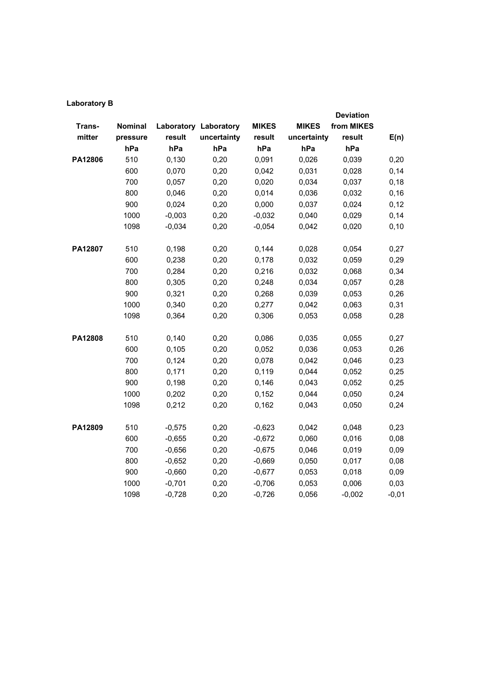| <b>Laboratory B</b> |  |
|---------------------|--|
|---------------------|--|

|         |          |          |                              |              |              | <b>Deviation</b> |         |
|---------|----------|----------|------------------------------|--------------|--------------|------------------|---------|
| Trans-  | Nominal  |          | <b>Laboratory Laboratory</b> | <b>MIKES</b> | <b>MIKES</b> | from MIKES       |         |
| mitter  | pressure | result   | uncertainty                  | result       | uncertainty  | result           | E(n)    |
|         | hPa      | hPa      | hPa                          | hPa          | hPa          | hPa              |         |
| PA12806 | 510      | 0,130    | 0,20                         | 0,091        | 0,026        | 0,039            | 0,20    |
|         | 600      | 0,070    | 0,20                         | 0,042        | 0,031        | 0,028            | 0,14    |
|         | 700      | 0,057    | 0,20                         | 0,020        | 0,034        | 0,037            | 0,18    |
|         | 800      | 0,046    | 0,20                         | 0,014        | 0,036        | 0,032            | 0, 16   |
|         | 900      | 0,024    | 0,20                         | 0,000        | 0,037        | 0,024            | 0,12    |
|         | 1000     | $-0,003$ | 0,20                         | $-0,032$     | 0,040        | 0,029            | 0,14    |
|         | 1098     | $-0,034$ | 0,20                         | $-0,054$     | 0,042        | 0,020            | 0, 10   |
| PA12807 | 510      | 0,198    | 0,20                         | 0,144        | 0,028        | 0,054            | 0,27    |
|         | 600      | 0,238    | 0,20                         | 0,178        | 0,032        | 0,059            | 0,29    |
|         | 700      | 0,284    | 0,20                         | 0,216        | 0,032        | 0,068            | 0,34    |
|         | 800      | 0,305    | 0,20                         | 0,248        | 0,034        | 0,057            | 0,28    |
|         | 900      | 0,321    | 0,20                         | 0,268        | 0,039        | 0,053            | 0,26    |
|         | 1000     | 0,340    | 0,20                         | 0,277        | 0,042        | 0,063            | 0,31    |
|         | 1098     | 0,364    | 0,20                         | 0,306        | 0,053        | 0,058            | 0,28    |
| PA12808 | 510      | 0,140    | 0,20                         | 0,086        | 0,035        | 0,055            | 0,27    |
|         | 600      | 0,105    | 0,20                         | 0,052        | 0,036        | 0,053            | 0,26    |
|         | 700      | 0,124    | 0,20                         | 0,078        | 0,042        | 0,046            | 0,23    |
|         | 800      | 0,171    | 0,20                         | 0,119        | 0,044        | 0,052            | 0,25    |
|         | 900      | 0,198    | 0,20                         | 0,146        | 0,043        | 0,052            | 0,25    |
|         | 1000     | 0,202    | 0,20                         | 0,152        | 0,044        | 0,050            | 0,24    |
|         | 1098     | 0,212    | 0,20                         | 0,162        | 0,043        | 0,050            | 0,24    |
| PA12809 | 510      | $-0,575$ | 0,20                         | $-0,623$     | 0,042        | 0,048            | 0,23    |
|         | 600      | $-0,655$ | 0,20                         | $-0,672$     | 0,060        | 0,016            | 0,08    |
|         | 700      | $-0,656$ | 0,20                         | $-0,675$     | 0,046        | 0,019            | 0,09    |
|         | 800      | $-0,652$ | 0,20                         | $-0,669$     | 0,050        | 0,017            | 0,08    |
|         | 900      | $-0,660$ | 0,20                         | $-0,677$     | 0,053        | 0,018            | 0,09    |
|         | 1000     | $-0,701$ | 0,20                         | $-0,706$     | 0,053        | 0,006            | 0,03    |
|         | 1098     | $-0,728$ | 0,20                         | $-0,726$     | 0,056        | $-0,002$         | $-0,01$ |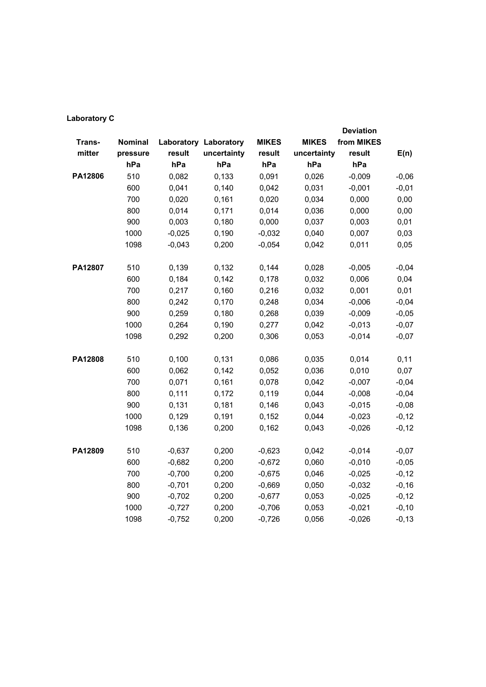|         |          |          |                              |              |              | <b>Deviation</b> |          |
|---------|----------|----------|------------------------------|--------------|--------------|------------------|----------|
| Trans-  | Nominal  |          | <b>Laboratory Laboratory</b> | <b>MIKES</b> | <b>MIKES</b> | from MIKES       |          |
| mitter  | pressure | result   | uncertainty                  | result       | uncertainty  | result           | E(n)     |
|         | hPa      | hPa      | hPa                          | hPa          | hPa          | hPa              |          |
| PA12806 | 510      | 0,082    | 0,133                        | 0,091        | 0,026        | $-0,009$         | $-0,06$  |
|         | 600      | 0,041    | 0,140                        | 0,042        | 0,031        | $-0,001$         | $-0,01$  |
|         | 700      | 0,020    | 0,161                        | 0,020        | 0,034        | 0,000            | 0,00     |
|         | 800      | 0,014    | 0,171                        | 0,014        | 0,036        | 0,000            | 0,00     |
|         | 900      | 0,003    | 0,180                        | 0,000        | 0,037        | 0,003            | 0,01     |
|         | 1000     | $-0,025$ | 0,190                        | $-0,032$     | 0,040        | 0,007            | 0,03     |
|         | 1098     | $-0,043$ | 0,200                        | $-0,054$     | 0,042        | 0,011            | 0,05     |
|         |          |          |                              |              |              |                  |          |
| PA12807 | 510      | 0,139    | 0,132                        | 0,144        | 0,028        | $-0,005$         | $-0,04$  |
|         | 600      | 0,184    | 0,142                        | 0,178        | 0,032        | 0,006            | 0,04     |
|         | 700      | 0,217    | 0,160                        | 0,216        | 0,032        | 0,001            | 0,01     |
|         | 800      | 0,242    | 0,170                        | 0,248        | 0,034        | $-0,006$         | $-0,04$  |
|         | 900      | 0,259    | 0,180                        | 0,268        | 0,039        | $-0,009$         | $-0,05$  |
|         | 1000     | 0,264    | 0,190                        | 0,277        | 0,042        | $-0,013$         | $-0,07$  |
|         | 1098     | 0,292    | 0,200                        | 0,306        | 0,053        | $-0,014$         | $-0,07$  |
| PA12808 | 510      | 0,100    | 0,131                        | 0,086        | 0,035        | 0,014            | 0,11     |
|         | 600      | 0,062    | 0,142                        | 0,052        | 0,036        | 0,010            | 0,07     |
|         | 700      | 0,071    | 0,161                        | 0,078        | 0,042        | $-0,007$         | $-0,04$  |
|         | 800      | 0,111    | 0,172                        | 0,119        | 0,044        | $-0,008$         | $-0,04$  |
|         | 900      | 0,131    | 0,181                        | 0,146        | 0,043        | $-0,015$         | $-0,08$  |
|         | 1000     | 0,129    | 0,191                        | 0,152        | 0,044        | $-0,023$         | $-0,12$  |
|         | 1098     | 0,136    | 0,200                        | 0,162        | 0,043        | $-0,026$         | $-0,12$  |
|         |          |          |                              |              |              |                  |          |
| PA12809 | 510      | $-0,637$ | 0,200                        | $-0,623$     | 0,042        | $-0,014$         | $-0,07$  |
|         | 600      | $-0,682$ | 0,200                        | $-0,672$     | 0,060        | $-0,010$         | $-0,05$  |
|         | 700      | $-0,700$ | 0,200                        | $-0,675$     | 0,046        | $-0,025$         | $-0,12$  |
|         | 800      | $-0,701$ | 0,200                        | $-0,669$     | 0,050        | $-0,032$         | $-0,16$  |
|         | 900      | $-0,702$ | 0,200                        | $-0,677$     | 0,053        | $-0,025$         | $-0,12$  |
|         | 1000     | $-0,727$ | 0,200                        | $-0,706$     | 0,053        | $-0,021$         | $-0, 10$ |
|         | 1098     | $-0,752$ | 0,200                        | $-0,726$     | 0,056        | $-0,026$         | $-0, 13$ |

#### **Laboratory C**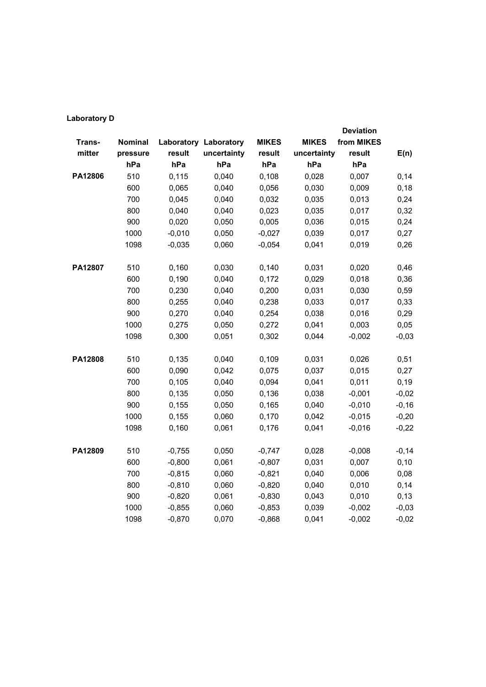|         |          |          |                              |              |              | <b>Deviation</b> |         |
|---------|----------|----------|------------------------------|--------------|--------------|------------------|---------|
| Trans-  | Nominal  |          | <b>Laboratory Laboratory</b> | <b>MIKES</b> | <b>MIKES</b> | from MIKES       |         |
| mitter  | pressure | result   | uncertainty                  | result       | uncertainty  | result           | E(n)    |
|         | hPa      | hPa      | hPa                          | hPa          | hPa          | hPa              |         |
| PA12806 | 510      | 0,115    | 0,040                        | 0,108        | 0,028        | 0,007            | 0,14    |
|         | 600      | 0,065    | 0,040                        | 0,056        | 0,030        | 0,009            | 0, 18   |
|         | 700      | 0,045    | 0,040                        | 0,032        | 0,035        | 0,013            | 0,24    |
|         | 800      | 0,040    | 0,040                        | 0,023        | 0,035        | 0,017            | 0,32    |
|         | 900      | 0,020    | 0,050                        | 0,005        | 0,036        | 0,015            | 0,24    |
|         | 1000     | $-0,010$ | 0,050                        | $-0,027$     | 0,039        | 0,017            | 0,27    |
|         | 1098     | $-0,035$ | 0,060                        | $-0,054$     | 0,041        | 0,019            | 0,26    |
| PA12807 | 510      | 0,160    | 0,030                        | 0,140        | 0,031        | 0,020            | 0,46    |
|         | 600      | 0,190    | 0,040                        | 0,172        | 0,029        | 0,018            | 0,36    |
|         | 700      | 0,230    | 0,040                        | 0,200        | 0,031        | 0,030            | 0,59    |
|         | 800      | 0,255    | 0,040                        | 0,238        | 0,033        | 0,017            | 0,33    |
|         | 900      | 0,270    | 0,040                        | 0,254        | 0,038        | 0,016            | 0,29    |
|         | 1000     | 0,275    | 0,050                        | 0,272        | 0,041        | 0,003            | 0,05    |
|         | 1098     | 0,300    | 0,051                        | 0,302        | 0,044        | $-0,002$         | $-0,03$ |
|         |          |          |                              |              |              |                  |         |
| PA12808 | 510      | 0,135    | 0,040                        | 0,109        | 0,031        | 0,026            | 0,51    |
|         | 600      | 0,090    | 0,042                        | 0,075        | 0,037        | 0,015            | 0,27    |
|         | 700      | 0,105    | 0,040                        | 0,094        | 0,041        | 0,011            | 0, 19   |
|         | 800      | 0,135    | 0,050                        | 0,136        | 0,038        | $-0,001$         | $-0,02$ |
|         | 900      | 0,155    | 0,050                        | 0,165        | 0,040        | $-0,010$         | $-0,16$ |
|         | 1000     | 0,155    | 0,060                        | 0,170        | 0,042        | $-0,015$         | $-0,20$ |
|         | 1098     | 0,160    | 0,061                        | 0,176        | 0,041        | $-0,016$         | $-0,22$ |
| PA12809 | 510      | $-0,755$ | 0,050                        | $-0,747$     | 0,028        | $-0,008$         | $-0,14$ |
|         | 600      | $-0,800$ | 0,061                        | $-0,807$     | 0,031        | 0,007            | 0,10    |
|         | 700      | $-0,815$ | 0,060                        | $-0,821$     | 0,040        | 0,006            | 0,08    |
|         | 800      | $-0,810$ | 0,060                        | $-0,820$     | 0,040        | 0,010            | 0,14    |
|         | 900      | $-0,820$ | 0,061                        | $-0,830$     | 0,043        | 0,010            | 0,13    |
|         | 1000     | $-0,855$ | 0,060                        | $-0,853$     | 0,039        | $-0,002$         | $-0,03$ |
|         | 1098     | $-0,870$ | 0,070                        | $-0,868$     | 0,041        | $-0,002$         | $-0,02$ |
|         |          |          |                              |              |              |                  |         |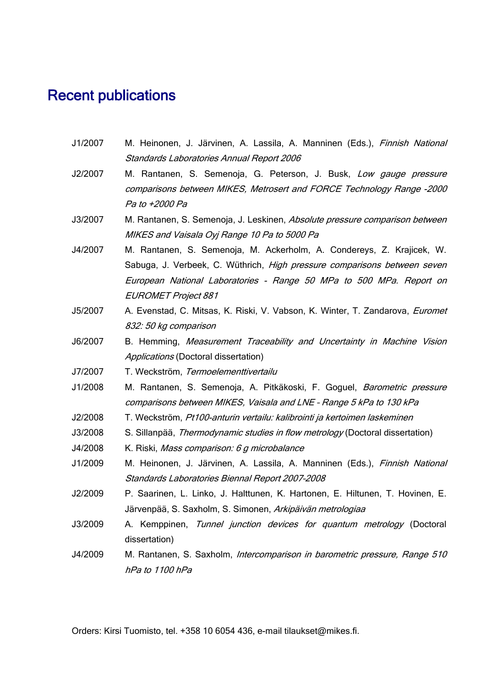#### Recent publications

- J1/2007 M. Heinonen, J. Järvinen, A. Lassila, A. Manninen (Eds.), Finnish National Standards Laboratories Annual Report 2006
- J2/2007 M. Rantanen, S. Semenoja, G. Peterson, J. Busk, Low gauge pressure comparisons between MIKES, Metrosert and FORCE Technology Range -2000 Pa to +2000 Pa
- J3/2007 M. Rantanen, S. Semenoja, J. Leskinen, Absolute pressure comparison between MIKES and Vaisala Oyj Range 10 Pa to 5000 Pa
- J4/2007 M. Rantanen, S. Semenoja, M. Ackerholm, A. Condereys, Z. Krajicek, W. Sabuga, J. Verbeek, C. Wüthrich, High pressure comparisons between seven European National Laboratories - Range 50 MPa to 500 MPa. Report on EUROMET Project 881
- J5/2007 A. Evenstad, C. Mitsas, K. Riski, V. Vabson, K. Winter, T. Zandarova, Euromet 832: 50 kg comparison<br>J6/2007 B. Hemming, Measurement Traceability and Uncertainty in Machine Vision
- Applications (Doctoral dissertation)
- J7/2007 T. Weckström, Termoelementtivertailu
- J1/2008 M. Rantanen, S. Semenoja, A. Pitkäkoski, F. Goguel, *Barometric pressure* comparisons between MIKES, Vaisala and LNE – Range 5 kPa to 130 kPa
- J2/2008 T. Weckström, Pt100-anturin vertailu: kalibrointi ja kertoimen laskeminen
- J3/2008 S. Sillanpää, Thermodynamic studies in flow metrology (Doctoral dissertation)
- J4/2008 K. Riski, Mass comparison: 6 g microbalance
- J1/2009 M. Heinonen, J. Järvinen, A. Lassila, A. Manninen (Eds.), Finnish National Standards Laboratories Biennal Report 2007–2008
- J2/2009 P. Saarinen, L. Linko, J. Halttunen, K. Hartonen, E. Hiltunen, T. Hovinen, E. Järvenpää, S. Saxholm, S. Simonen, Arkipäivän metrologiaa
- J3/2009 A. Kemppinen, Tunnel junction devices for quantum metrology (Doctoral dissertation)
- J4/2009 M. Rantanen, S. Saxholm, *Intercomparison in barometric pressure, Range 510* hPa to 1100 hPa

Orders: Kirsi Tuomisto, tel. +358 10 6054 436, e-mail tilaukset@mikes.fi.